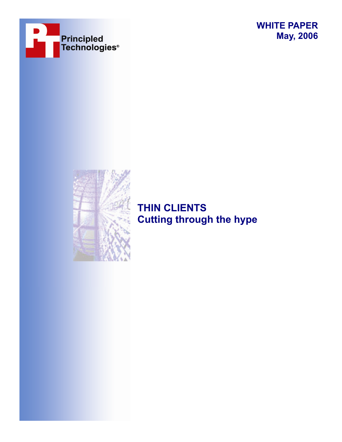





# **THIN CLIENTS Cutting through the hype**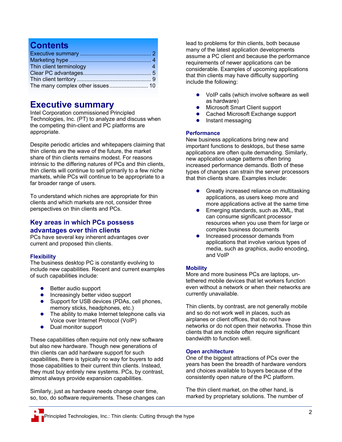## **Contents**

| Thin client terminology<br>$\sim$ 4 |  |
|-------------------------------------|--|
|                                     |  |
|                                     |  |
|                                     |  |

## **Executive summary**

Intel Corporation commissioned Principled Technologies, Inc. (PT) to analyze and discuss when the competing thin-client and PC platforms are appropriate.

Despite periodic articles and whitepapers claiming that thin clients are the wave of the future, the market share of thin clients remains modest. For reasons intrinsic to the differing natures of PCs and thin clients, thin clients will continue to sell primarily to a few niche markets, while PCs will continue to be appropriate to a far broader range of users.

To understand which niches are appropriate for thin clients and which markets are not, consider three perspectives on thin clients and PCs.

### **Key areas in which PCs possess advantages over thin clients**

PCs have several key inherent advantages over current and proposed thin clients.

### **Flexibility**

The business desktop PC is constantly evolving to include new capabilities. Recent and current examples of such capabilities include:

- $\bullet$  Better audio support
- Increasingly better video support
- Support for USB devices (PDAs, cell phones, memory sticks, headphones, etc.)
- $\bullet$  The ability to make Internet telephone calls via Voice over Internet Protocol (VoIP)
- Dual monitor support

These capabilities often require not only new software but also new hardware. Though new generations of thin clients can add hardware support for such capabilities, there is typically no way for buyers to add those capabilities to their current thin clients. Instead, they must buy entirely new systems. PCs, by contrast, almost always provide expansion capabilities.

Similarly, just as hardware needs change over time, so, too, do software requirements. These changes can lead to problems for thin clients, both because many of the latest application developments assume a PC client and because the performance requirements of newer applications can be considerable. Examples of upcoming applications that thin clients may have difficulty supporting include the following:

- $\bullet$  VoIP calls (which involve software as well as hardware)
- Microsoft Smart Client support
- Cached Microsoft Exchange support
- $\bullet$  Instant messaging

### **Performance**

New business applications bring new and important functions to desktops, but these same applications are often quite demanding. Similarly, new application usage patterns often bring increased performance demands. Both of these types of changes can strain the server processors that thin clients share. Examples include:

- $\bullet$  Greatly increased reliance on multitasking applications, as users keep more and more applications active at the same time
- $\bullet$  Emerging standards, such as XML, that can consume significant processor resources when you use them for large or complex business documents
- Increased processor demands from applications that involve various types of media, such as graphics, audio encoding, and VoIP

### **Mobility**

More and more business PCs are laptops, untethered mobile devices that let workers function even without a network or when their networks are currently unavailable.

Thin clients, by contrast, are not generally mobile and so do not work well in places, such as airplanes or client offices, that do not have networks or do not open their networks. Those thin clients that are mobile often require significant bandwidth to function well.

### **Open architecture**

One of the biggest attractions of PCs over the years has been the breadth of hardware vendors and choices available to buyers because of the consistently open nature of the PC platform.

The thin client market, on the other hand, is marked by proprietary solutions. The number of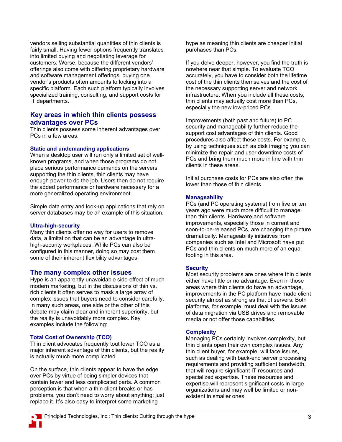vendors selling substantial quantities of thin clients is fairly small. Having fewer options frequently translates into limited buying and negotiating leverage for customers. Worse, because the different vendors' offerings also come with differing proprietary hardware and software management offerings, buying one vendor's products often amounts to locking into a specific platform. Each such platform typically involves specialized training, consulting, and support costs for IT departments.

### **Key areas in which thin clients possess advantages over PCs**

Thin clients possess some inherent advantages over PCs in a few areas.

#### **Static and undemanding applications**

When a desktop user will run only a limited set of wellknown programs, and when those programs do not place serious performance demands on the servers supporting the thin clients, thin clients may have enough power to do the job. Users then do not require the added performance or hardware necessary for a more generalized operating environment.

Simple data entry and look-up applications that rely on server databases may be an example of this situation.

### **Ultra-high-security**

Many thin clients offer no way for users to remove data, a limitation that can be an advantage in ultrahigh-security workplaces. While PCs can also be configured in this manner, doing so may cost them some of their inherent flexibility advantages.

### **The many complex other issues**

Hype is an apparently unavoidable side-effect of much modern marketing, but in the discussions of thin vs. rich clients it often serves to mask a large array of complex issues that buyers need to consider carefully. In many such areas, one side or the other of this debate may claim clear and inherent superiority, but the reality is unavoidably more complex. Key examples include the following:

### **Total Cost of Ownership (TCO)**

Thin client advocates frequently tout lower TCO as a major inherent advantage of thin clients, but the reality is actually much more complicated.

On the surface, thin clients appear to have the edge over PCs by virtue of being simpler devices that contain fewer and less complicated parts. A common perception is that when a thin client breaks or has problems, you don't need to worry about anything; just replace it. It's also easy to interpret some marketing

hype as meaning thin clients are cheaper initial purchases than PCs.

If you delve deeper, however, you find the truth is nowhere near that simple. To evaluate TCO accurately, you have to consider both the lifetime cost of the thin clients themselves and the cost of the necessary supporting server and network infrastructure. When you include all these costs, thin clients may actually cost more than PCs, especially the new low-priced PCs.

Improvements (both past and future) to PC security and manageability further reduce the support cost advantages of thin clients. Good procedures also affect these costs. For example, by using techniques such as disk imaging you can minimize the repair and user downtime costs of PCs and bring them much more in line with thin clients in these areas.

Initial purchase costs for PCs are also often the lower than those of thin clients.

### **Manageability**

PCs (and PC operating systems) from five or ten years ago were much more difficult to manage than thin clients. Hardware and software improvements, especially those in current and soon-to-be-released PCs, are changing the picture dramatically. Manageability initiatives from companies such as Intel and Microsoft have put PCs and thin clients on much more of an equal footing in this area.

#### **Security**

Most security problems are ones where thin clients either have little or no advantage. Even in those areas where thin clients do have an advantage, improvements in the PC platform have made client security almost as strong as that of servers. Both platforms, for example, must deal with the issues of data migration via USB drives and removable media or not offer those capabilities.

### **Complexity**

Managing PCs certainly involves complexity, but thin clients open their own complex issues. Any thin client buyer, for example, will face issues, such as dealing with back-end server processing requirements and providing sufficient bandwidth, that will require significant IT resources and specialized expertise. These resources and expertise will represent significant costs in large organizations and may well be limited or nonexistent in smaller ones.

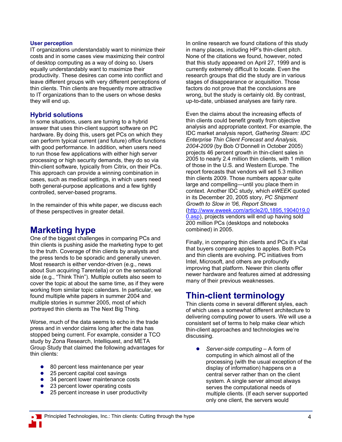### **User perception**

IT organizations understandably want to minimize their costs and in some cases view maximizing their control of desktop computing as a way of doing so. Users equally understandably want to maximize their productivity. These desires can come into conflict and leave different groups with very different perceptions of thin clients. Thin clients are frequently more attractive to IT organizations than to the users on whose desks they will end up.

## **Hybrid solutions**

In some situations, users are turning to a hybrid answer that uses thin-client support software on PC hardware. By doing this, users get PCs on which they can perform typical current (and future) office functions with good performance. In addition, when users need to run those few applications with either high server processing or high security demands, they do so via thin-client software, typically from Citrix, on their PCs. This approach can provide a winning combination in cases, such as medical settings, in which users need both general-purpose applications and a few tightly controlled, server-based programs.

In the remainder of this white paper, we discuss each of these perspectives in greater detail.

## **Marketing hype**

One of the biggest challenges in comparing PCs and thin clients is pushing aside the marketing hype to get to the truth. Coverage of thin clients by analysts and the press tends to be sporadic and generally uneven. Most research is either vendor-driven (e.g., news about Sun acquiring Tarentella) or on the sensational side (e.g., "Think Thin"). Multiple outlets also seem to cover the topic at about the same time, as if they were working from similar topic calendars. In particular, we found multiple white papers in summer 2004 and multiple stories in summer 2005, most of which portrayed thin clients as The Next Big Thing.

Worse, much of the data seems to echo in the trade press and in vendor claims long after the data has stopped being current. For example, consider a TCO study by Zona Research, Intelliquest, and META Group Study that claimed the following advantages for thin clients:

- 80 percent less maintenance per year
- $\bullet$  25 percent capital cost savings
- 34 percent lower maintenance costs<br>• 23 percent lower operating costs
- 23 percent lower operating costs
- $\bullet$  25 percent increase in user productivity

In online research we found citations of this study in many places, including HP's thin-client pitch. None of the citations we found, however, noted that this study appeared on April 27, 1999 and is currently extremely difficult to locate. Even the research groups that did the study are in various stages of disappearance or acquisition. Those factors do not prove that the conclusions are wrong, but the study is certainly old. By contrast, up-to-date, unbiased analyses are fairly rare.

Even the claims about the increasing effects of thin clients could benefit greatly from objective analysis and appropriate context. For example, the IDC market analysis report, *Gathering Steam: IDC Enterprise Thin Client Forecast and Analysis, 2004-2009* (by Bob O'Donnell in October 2005) projects 46 percent growth in thin-client sales in 2005 to nearly 2.4 million thin clients, with 1 million of those in the U.S. and Western Europe. The report forecasts that vendors will sell 5.3 million thin clients 2009. Those numbers appear quite large and compelling—until you place them in context. Another IDC study, which *eWEEK* quoted in its December 20, 2005 story, *PC Shipment Growth to Slow in '06, Report Shows*  (http://www.eweek.com/article2/0,1895,1904019,0 0.asp), projects vendors will end up having sold 200 million PCs (desktops and notebooks combined) in 2005.

Finally, in comparing thin clients and PCs it's vital that buyers compare apples to apples. Both PCs and thin clients are evolving. PC initiatives from Intel, Microsoft, and others are profoundly improving that platform. Newer thin clients offer newer hardware and features aimed at addressing many of their previous weaknesses.

## **Thin-client terminology**

Thin clients come in several different styles, each of which uses a somewhat different architecture to delivering computing power to users. We will use a consistent set of terms to help make clear which thin-client approaches and technologies we're discussing.

• *Server-side computing* – A form of computing in which almost all of the processing (with the usual exception of the display of information) happens on a central server rather than on the client system. A single server almost always serves the computational needs of multiple clients. (If each server supported only one client, the servers would

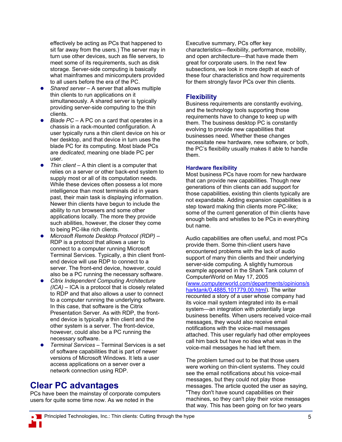effectively be acting as PCs that happened to sit far away from the users.) The server may in turn use other devices, such as file servers, to meet some of its requirements, such as disk storage. Server-side computing is basically what mainframes and minicomputers provided to all users before the era of the PC.

- Shared server A server that allows multiple thin clients to run applications on it simultaneously. A shared server is typically providing server-side computing to the thin clients.
- *Blade PC A PC on a card that operates in a* chassis in a rack-mounted configuration. A user typically runs a thin client device on his or her desktop, and that device in turn uses the blade PC for its computing. Most blade PCs are *dedicated*, meaning one blade PC per user.
- Thin client A thin client is a computer that relies on a server or other back-end system to supply most or all of its computation needs. While these devices often possess a lot more intelligence than most terminals did in years past, their main task is displaying information. Newer thin clients have begun to include the ability to run browsers and some other applications locally. The more they provide such abilities, however, the closer they come to being PC-like rich clients.
- z *Microsoft Remote Desktop Protocol (RDP)* RDP is a protocol that allows a user to connect to a computer running Microsoft Terminal Services. Typically, a thin client frontend device will use RDP to connect to a server. The front-end device, however, could also be a PC running the necessary software.
- z *Citrix Independent Computing Architecture (ICA)* – ICA is a protocol that is closely related to RDP and that also allows a user to connect to a computer running the underlying software. In this case, that software is the Citrix Presentation Server. As with RDP, the frontend device is typically a thin client and the other system is a server. The front-device, however, could also be a PC running the necessary software. .
- *Terminal Services Terminal Services is a set* of software capabilities that is part of newer versions of Microsoft Windows. It lets a user access applications on a server over a network connection using RDP.

## **Clear PC advantages**

PCs have been the mainstay of corporate computers users for quite some time now. As we noted in the

Executive summary, PCs offer key characteristics—flexibility, performance, mobility, and open architecture—that have made them great for corporate users. In the next few subsections, we look in more depth at each of these four characteristics and how requirements for them strongly favor PCs over thin clients.

## **Flexibility**

Business requirements are constantly evolving, and the technology tools supporting those requirements have to change to keep up with them. The business desktop PC is constantly evolving to provide new capabilities that businesses need. Whether these changes necessitate new hardware, new software, or both, the PC's flexibility usually makes it able to handle them.

### **Hardware flexibility**

Most business PCs have room for new hardware that can provide new capabilities. Though new generations of thin clients can add support for those capabilities, existing thin clients typically are not expandable. Adding expansion capabilities is a step toward making thin clients more PC-like; some of the current generation of thin clients have enough bells and whistles to be PCs in everything but name.

Audio capabilities are often useful, and most PCs provide them. Some thin-client users have encountered problems with the lack of audio support of many thin clients and their underlying server-side computing. A slightly humorous example appeared in the Shark Tank column of ComputerWorld on May 17, 2005 (www.computerworld.com/departments/opinions/s harktank/0,4885,101779,00.html). The writer recounted a story of a user whose company had its voice mail system integrated into its e-mail system—an integration with potentially large business benefits. When users received voice-mail messages, they would also receive email notifications with the voice-mail messages attached. This user regularly had other employees call him back but have no idea what was in the voice-mail messages he had left them.

The problem turned out to be that those users were working on thin-client systems. They could see the email notifications about his voice-mail messages, but they could not play those messages. The article quoted the user as saying, "They don't have sound capabilities on their machines, so they can't play their voice messages that way. This has been going on for two years

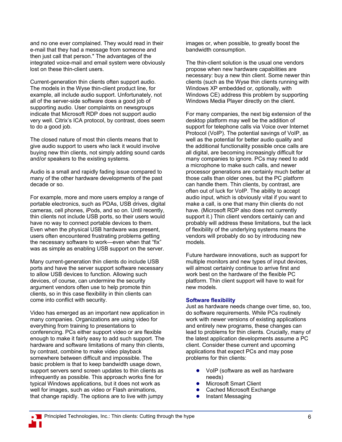and no one ever complained. They would read in their e-mail that they had a message from someone and then just call that person." The advantages of the integrated voice-mail and email system were obviously lost on these thin-client users.

Current-generation thin clients often support audio. The models in the Wyse thin-client product line, for example, all include audio support. Unfortunately, not all of the server-side software does a good job of supporting audio. User complaints on newsgroups indicate that Microsoft RDP does not support audio very well. Citrix's ICA protocol, by contrast, does seem to do a good job.

The closed nature of most thin clients means that to give audio support to users who lack it would involve buying new thin clients, not simply adding sound cards and/or speakers to the existing systems.

Audio is a small and rapidly fading issue compared to many of the other hardware developments of the past decade or so.

For example, more and more users employ a range of portable electronics, such as PDAs, USB drives, digital cameras, cell phones, iPods, and so on. Until recently, thin clients not include USB ports, so their users would have no way to connect portable devices to them. Even when the physical USB hardware was present, users often encountered frustrating problems getting the necessary software to work—even when that "fix" was as simple as enabling USB support on the server.

Many current-generation thin clients do include USB ports and have the server support software necessary to allow USB devices to function. Allowing such devices, of course, can undermine the security argument vendors often use to help promote thin clients, so in this case flexibility in thin clients can come into conflict with security.

Video has emerged as an important new application in many companies. Organizations are using video for everything from training to presentations to conferencing. PCs either support video or are flexible enough to make it fairly easy to add such support. The hardware and software limitations of many thin clients, by contrast, combine to make video playback somewhere between difficult and impossible. The basic problem is that to keep bandwidth usage down, support servers send screen updates to thin clients as infrequently as possible. This approach works fine for typical Windows applications, but it does not work as well for images, such as video or Flash animations, that change rapidly. The options are to live with jumpy

images or, when possible, to greatly boost the bandwidth consumption.

The thin-client solution is the usual one vendors propose when new hardware capabilities are necessary: buy a new thin client. Some newer thin clients (such as the Wyse thin clients running with Windows XP embedded or, optionally, with Windows CE) address this problem by supporting Windows Media Player directly on the client.

For many companies, the next big extension of the desktop platform may well be the addition of support for telephone calls via Voice over Internet Protocol (VoIP). The potential savings of VoIP, as well as the potential for better audio quality and the additional functionality possible once calls are all digital, are becoming increasingly difficult for many companies to ignore. PCs may need to add a microphone to make such calls, and newer processor generations are certainly much better at those calls than older ones, but the PC platform can handle them. Thin clients, by contrast, are often out of luck for VoIP. The ability to accept audio input, which is obviously vital if you want to make a call, is one that many thin clients do not have. (Microsoft RDP also does not currently support it.) Thin client vendors certainly can and probably will address these limitations, but the lack of flexibility of the underlying systems means the vendors will probably do so by introducing new models.

Future hardware innovations, such as support for multiple monitors and new types of input devices, will almost certainly continue to arrive first and work best on the hardware of the flexible PC platform. Thin client support will have to wait for new models.

### **Software flexibility**

Just as hardware needs change over time, so, too, do software requirements. While PCs routinely work with newer versions of existing applications and entirely new programs, these changes can lead to problems for thin clients. Crucially, many of the latest application developments assume a PC client. Consider these current and upcoming applications that expect PCs and may pose problems for thin clients:

- VoIP (software as well as hardware needs)
- Microsoft Smart Client
- Cached Microsoft Exchange
- **•** Instant Messaging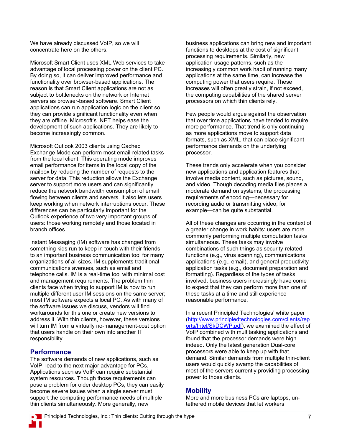We have already discussed VoIP, so we will concentrate here on the others.

Microsoft Smart Client uses XML Web services to take advantage of local processing power on the client PC. By doing so, it can deliver improved performance and functionality over browser-based applications. The reason is that Smart Client applications are not as subject to bottlenecks on the network or Internet servers as browser-based software. Smart Client applications can run application logic on the client so they can provide significant functionality even when they are offline. Microsoft's .NET helps ease the development of such applications. They are likely to become increasingly common.

Microsoft Outlook 2003 clients using Cached Exchange Mode can perform most email-related tasks from the local client. This operating mode improves email performance for items in the local copy of the mailbox by reducing the number of requests to the server for data. This reduction allows the Exchange server to support more users and can significantly reduce the network bandwidth consumption of email flowing between clients and servers. It also lets users keep working when network interruptions occur. These differences can be particularly important for the Outlook experience of two very important groups of users: those working remotely and those located in branch offices.

Instant Messaging (IM) software has changed from something kids run to keep in touch with their friends to an important business communication tool for many organizations of all sizes. IM supplements traditional communications avenues, such as email and telephone calls. IM is a real-time tool with minimal cost and management requirements. The problem thin clients face when trying to support IM is how to run multiple different user IM sessions on the same server; most IM software expects a local PC. As with many of the software issues we discuss, vendors will find workarounds for this one or create new versions to address it. With thin clients, however, these versions will turn IM from a virtually no-management-cost option that users handle on their own into another IT responsibility.

## **Performance**

The software demands of new applications, such as VoIP, lead to the next major advantage for PCs. Applications such as VoIP can require substantial system resources. Though those requirements can pose a problem for older desktop PCs, they can easily become severe issues when a single server must support the computing performance needs of multiple thin clients simultaneously. More generally, new

business applications can bring new and important functions to desktops at the cost of significant processing requirements. Similarly, new application usage patterns, such as the increasingly common work habit of running many applications at the same time, can increase the computing power that users require. These increases will often greatly strain, if not exceed, the computing capabilities of the shared server processors on which thin clients rely.

Few people would argue against the observation that over time applications have tended to require more performance. That trend is only continuing as more applications move to support data formats, such as XML, that can place significant performance demands on the underlying processor.

These trends only accelerate when you consider new applications and application features that involve media content, such as pictures, sound, and video. Though decoding media files places a moderate demand on systems, the processing requirements of encoding—necessary for recording audio or transmitting video, for example—can be quite substantial.

All of these changes are occurring in the context of a greater change in work habits: users are more commonly performing multiple computation tasks simultaneous. These tasks may involve combinations of such things as security-related functions (e.g., virus scanning), communications applications (e.g., email), and general productivity application tasks (e.g., document preparation and formatting). Regardless of the types of tasks involved, business users increasingly have come to expect that they can perform more than one of these tasks at a time and still experience reasonable performance.

In a recent Principled Technologies' white paper (http://www.principledtechnologies.com/clients/rep orts/Intel/SkDCWP.pdf), we examined the effect of VoIP combined with multitasking applications and found that the processor demands were high indeed. Only the latest generation Dual-core processors were able to keep up with that demand. Similar demands from multiple thin-client users would quickly swamp the capabilities of most of the servers currently providing processing power to those clients.

## **Mobility**

More and more business PCs are laptops, untethered mobile devices that let workers

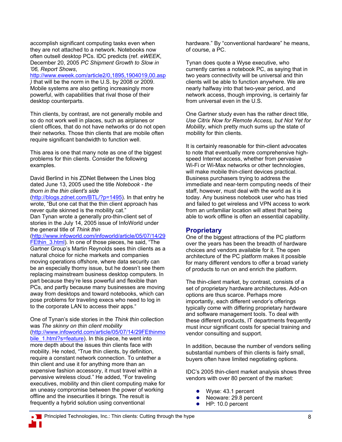accomplish significant computing tasks even when they are not attached to a network. Notebooks now often outsell desktop PCs. IDC predicts (ref. *eWEEK*, December 20, 2005 *PC Shipment Growth to Slow in '06, Report Shows*,

http://www.eweek.com/article2/0,1895,1904019,00.asp

*)* that will be the norm in the U.S. by 2008 or 2009. Mobile systems are also getting increasingly more powerful, with capabilities that rival those of their desktop counterparts.

Thin clients, by contrast, are not generally mobile and so do not work well in places, such as airplanes or client offices, that do not have networks or do not open their networks. Those thin clients that are mobile often require significant bandwidth to function well.

This area is one that many note as one of the biggest problems for thin clients. Consider the following examples.

David Berlind in his ZDNet Between the Lines blog dated June 13, 2005 used the title *Notebook - the thorn in the thin client's side*

(http://blogs.zdnet.com/BTL/?p=1495)*.* In that entry he wrote, "But one cat that the thin client approach has never quite skinned is the mobility cat." Dan Tynan wrote a generally pro-thin-client set of

stories in the July 14, 2005 issue of InfoWorld under the general title of *Think thin* 

(http://www.infoworld.com/infoworld/article/05/07/14/29 FEthin 3.html). In one of those pieces, he said, "The Gartner Group's Martin Reynolds sees thin clients as a natural choice for niche markets and companies moving operations offshore, where data security can be an especially thorny issue, but he doesn't see them replacing mainstream business desktop computers. In part because they're less powerful and flexible than PCs, and partly because many businesses are moving away from desktops and toward notebooks, which can pose problems for traveling execs who need to log in to the corporate LAN to access their apps."

One of Tynan's side stories in the *Think thin* collection was *The skinny on thin client mobility* 

(http://www.infoworld.com/article/05/07/14/29FEthinmo

bile 1.html?s=feature). In this piece, he went into more depth about the issues thin clients face with mobility. He noted, "True thin clients, by definition, require a constant network connection. To untether a thin client and use it for anything more than an expensive fashion accessory, it must travel within a pervasive wireless cloud." He added, "For traveling executives, mobility and thin client computing make for an uneasy compromise between the power of working offline and the insecurities it brings. The result is frequently a hybrid solution using conventional

hardware." By "conventional hardware" he means, of course, a PC.

Tynan does quote a Wyse executive, who currently carries a notebook PC, as saying that in two years connectivity will be universal and thin clients will be able to function anywhere. We are nearly halfway into that two-year period, and network access, though improving, is certainly far from universal even in the U.S.

One Gartner study even has the rather direct title, *Use Citrix Now for Remote Access, but Not Yet for Mobility*, which pretty much sums up the state of mobility for thin clients.

It is certainly reasonable for thin-client advocates to note that eventually more comprehensive highspeed Internet access, whether from pervasive Wi-Fi or Wi-Max networks or other technologies, will make mobile thin-client devices practical. Business purchasers trying to address the immediate and near-term computing needs of their staff, however, must deal with the world as it is today. Any business notebook user who has tried and failed to get wireless and VPN access to work from an unfamiliar location will attest that being able to work offline is often an essential capability.

### **Proprietary**

One of the biggest attractions of the PC platform over the years has been the breadth of hardware choices and vendors available for it. The open architecture of the PC platform makes it possible for many different vendors to offer a broad variety of products to run on and enrich the platform.

The thin-client market, by contrast, consists of a set of proprietary hardware architectures. Add-on options are thus scarce. Perhaps more importantly, each different vendor's offerings typically come with differing proprietary hardware and software management tools. To deal with these different products, IT departments frequently must incur significant costs for special training and vendor consulting and support.

In addition, because the number of vendors selling substantial numbers of thin clients is fairly small, buyers often have limited negotiating options.

IDC's 2005 thin-client market analysis shows three vendors with over 80 percent of the market:

- Wyse: 43.1 percent
- Neoware: 29.8 percent
- $\bullet$  HP: 10.0 percent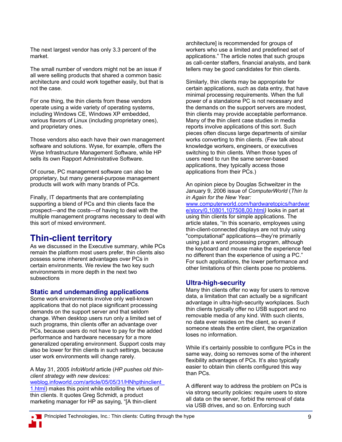The next largest vendor has only 3.3 percent of the market.

The small number of vendors might not be an issue if all were selling products that shared a common basic architecture and could work together easily, but that is not the case.

For one thing, the thin clients from these vendors operate using a wide variety of operating systems, including Windows CE, Windows XP embedded, various flavors of Linux (including proprietary ones), and proprietary ones.

Those vendors also each have their own management software and solutions. Wyse, for example, offers the Wyse Infrastructure Management Software, while HP sells its own Rapport Administrative Software.

Of course, PC management software can also be proprietary, but many general-purpose management products will work with many brands of PCs.

Finally, IT departments that are contemplating supporting a blend of PCs and thin clients face the prospect—and the costs—of having to deal with the multiple management programs necessary to deal with this sort of mixed environment.

## **Thin-client territory**

As we discussed in the Executive summary, while PCs remain the platform most users prefer, thin clients also possess some inherent advantages over PCs in certain environments. We review the two key such environments in more depth in the next two subsections

## **Static and undemanding applications**

Some work environments involve only well-known applications that do not place significant processing demands on the support server and that seldom change. When desktop users run only a limited set of such programs, thin clients offer an advantage over PCs, because users do not have to pay for the added performance and hardware necessary for a more generalized operating environment. Support costs may also be lower for thin clients in such settings, because user work environments will change rarely.

A May 31, 2005 *InfoWorld* article (*HP pushes old thinclient strategy with new devices:* 

weblog.infoworld.com/article/05/05/31/HNhpthinclient\_ 1.html) makes this point while extolling the virtues of thin clients. It quotes Greg Schmidt, a product marketing manager for HP as saying, "[A thin-client

architecture] is recommended for groups of workers who use a limited and predefined set of applications." The article notes that such groups as call-center staffers, financial analysts, and bank tellers may be good candidates for thin clients.

Similarly, thin clients may be appropriate for certain applications, such as data entry, that have minimal processing requirements. When the full power of a standalone PC is not necessary and the demands on the support servers are modest, thin clients may provide acceptable performance. Many of the thin client case studies in media reports involve applications of this sort. Such pieces often discuss large departments of similar works converting to thin clients. (Few talk about knowledge workers, engineers, or executives switching to thin clients. When those types of users need to run the same server-based applications, they typically access those applications from their PCs.)

An opinion piece by Douglas Schweitzer in the January 9, 2006 issue of *ComputerWorld* (*Thin Is in Again for the New Year:* 

www.computerworld.com/hardwaretopics/hardwar e/story/0,10801,107508,00.html*)* looks in part at using thin clients for simple applications. The article states, "In this scenario, employees using thin-client-connected displays are not truly using "computational" applications—they're primarily using just a word processing program, although the keyboard and mouse make the experience feel no different than the experience of using a PC." For such applications, the lower performance and other limitations of thin clients pose no problems.

## **Ultra-high-security**

Many thin clients offer no way for users to remove data, a limitation that can actually be a significant advantage in ultra-high-security workplaces. Such thin clients typically offer no USB support and no removable media of any kind. With such clients, no data ever resides on the client, so even if someone steals the entire client, the organization loses no information.

While it's certainly possible to configure PCs in the same way, doing so removes some of the inherent flexibility advantages of PCs. It's also typically easier to obtain thin clients configured this way than PCs.

A different way to address the problem on PCs is via strong security policies: require users to store all data on the server, forbid the removal of data via USB drives, and so on. Enforcing such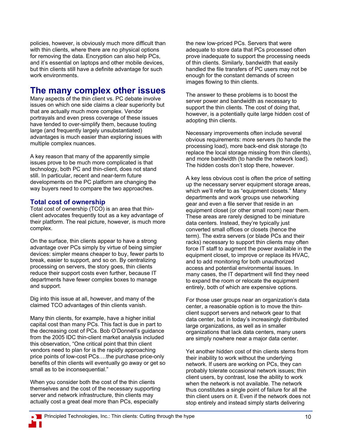policies, however, is obviously much more difficult than with thin clients, where there are no physical options for removing the data. Encryption can also help PCs, and it's essential on laptops and other mobile devices, but thin clients still have a definite advantage for such work environments.

## **The many complex other issues**

Many aspects of the thin client vs. PC debate involve issues on which one side claims a clear superiority but that are actually much more complex. Vendor portrayals and even press coverage of these issues have tended to over-simplify them, because touting large (and frequently largely unsubstantiated) advantages is much easier than exploring issues with multiple complex nuances.

A key reason that many of the apparently simple issues prove to be much more complicated is that technology, both PC and thin-client, does not stand still. In particular, recent and near-term future developments on the PC platform are changing the way buyers need to compare the two approaches.

## **Total cost of ownership**

Total cost of ownership (TCO) is an area that thinclient advocates frequently tout as a key advantage of their platform. The real picture, however, is much more complex.

On the surface, thin clients appear to have a strong advantage over PCs simply by virtue of being simpler devices: simpler means cheaper to buy, fewer parts to break, easier to support, and so on. By centralizing processing on servers, the story goes, thin clients reduce their support costs even further, because IT departments have fewer complex boxes to manage and support.

Dig into this issue at all, however, and many of the claimed TCO advantages of thin clients vanish.

Many thin clients, for example, have a higher initial capital cost than many PCs. This fact is due in part to the decreasing cost of PCs. Bob O'Donnell's guidance from the 2005 IDC thin-client market analysis included this observation, "One critical point that thin client vendors need to plan for is the rapidly approaching price points of low-cost PCs….the purchase price-only benefits of thin clients will eventually go away or get so small as to be inconsequential."

When you consider both the cost of the thin clients themselves and the cost of the necessary supporting server and network infrastructure, thin clients may actually cost a great deal more than PCs, especially

the new low-priced PCs. Servers that were adequate to store data that PCs processed often prove inadequate to support the processing needs of thin clients. Similarly, bandwidth that easily handled the file transfers of PC users may not be enough for the constant demands of screen images flowing to thin clients.

The answer to these problems is to boost the server power and bandwidth as necessary to support the thin clients. The cost of doing that, however, is a potentially quite large hidden cost of adopting thin clients.

Necessary improvements often include several obvious requirements: more servers (to handle the processing load), more back-end disk storage (to replace the local storage missing from thin clients), and more bandwidth (to handle the network load). The hidden costs don't stop there, however.

A key less obvious cost is often the price of setting up the necessary server equipment storage areas, which we'll refer to as "equipment closets." Many departments and work groups use networking gear and even a file server that reside in an equipment closet (or other small room) near them. These areas are rarely designed to be miniature data centers. Instead, they're typically just converted small offices or closets (hence the term). The extra servers (or blade PCs and their racks) necessary to support thin clients may often force IT staff to augment the power available in the equipment closet, to improve or replace its HVAC, and to add monitoring for both unauthorized access and potential environmental issues. In many cases, the IT department will find they need to expand the room or relocate the equipment entirely, both of which are expensive options.

For those user groups near an organization's data center, a reasonable option is to move the thinclient support servers and network gear to that data center, but in today's increasingly distributed large organizations, as well as in smaller organizations that lack data centers, many users are simply nowhere near a major data center.

Yet another hidden cost of thin clients stems from their inability to work without the underlying network. If users are working on PCs, they can probably tolerate occasional network issues; thin client users, by contrast, lose the ability to work when the network is not available. The network thus constitutes a single point of failure for all the thin client users on it. Even if the network does not stop entirely and instead simply starts delivering

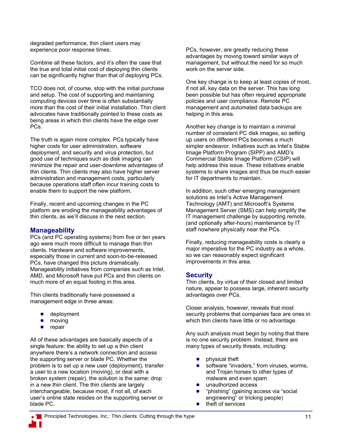degraded performance, thin client users may experience poor response times.

Combine all these factors, and it's often the case that the true and total initial cost of deploying thin clients can be significantly higher than that of deploying PCs.

TCO does not, of course, stop with the initial purchase and setup. The cost of supporting and maintaining computing devices over time is often substantially more than the cost of their initial installation. Thin client advocates have traditionally pointed to these costs as being areas in which thin clients have the edge over PCs.

The truth is again more complex. PCs typically have higher costs for user administration, software deployment, and security and virus protection, but good use of techniques such as disk imaging can minimize the repair and user-downtime advantages of thin clients. Thin clients may also have higher server administration and management costs, particularly because operations staff often incur training costs to enable them to support the new platform.

Finally, recent and upcoming changes in the PC platform are eroding the manageability advantages of thin clients, as we'll discuss in the next section.

## **Manageability**

PCs (and PC operating systems) from five or ten years ago were much more difficult to manage than thin clients. Hardware and software improvements, especially those in current and soon-to-be-released PCs, have changed this picture dramatically. Manageability initiatives from companies such as Intel, AMD, and Microsoft have put PCs and thin clients on much more of an equal footing in this area.

Thin clients traditionally have possessed a management edge in three areas:

- deployment
- moving
- repair

All of these advantages are basically aspects of a single feature: the ability to set up a thin client anywhere there's a network connection and access the supporting server or blade PC. Whether the problem is to set up a new user (deployment), transfer a user to a new location (moving), or deal with a broken system (repair), the solution is the same: drop in a new thin client. The thin clients are largely interchangeable, because most, if not all, of each user's online state resides on the supporting server or blade PC.

PCs, however, are greatly reducing these advantages by moving toward similar ways of management, but without the need for so much work on the server side.

One key change is to keep at least copies of most, if not all, key data on the server. This has long been possible but has often required appropriate policies and user compliance. Remote PC management and automated data backups are helping in this area.

Another key change is to maintain a minimal number of consistent PC disk images, so setting up users on different PCs becomes a much simpler endeavor. Initiatives such as Intel's Stable Image Platform Program (SIPP) and AMD's Commercial Stable Image Platform (CSIP) will help address this issue. These initiatives enable systems to share images and thus be much easier for IT departments to maintain.

In addition, such other emerging management solutions as Intel's Active Management Technology (AMT) and Microsoft's Systems Management Server (SMS) can help simplify the IT management challenge by supporting remote, (and optionally after-hours) maintenance by IT staff nowhere physically near the PCs.

Finally, reducing manageability costs is clearly a major imperative for the PC industry as a whole, so we can reasonably expect significant improvements in this area.

## **Security**

Thin clients, by virtue of their closed and limited nature, appear to possess large, inherent security advantages over PCs.

Closer analysis, however, reveals that most security problems that companies face are ones in which thin clients have little or no advantage.

Any such analysis must begin by noting that there is no one security problem. Instead, there are many types of security threats, including:

- physical theft
- software "invaders," from viruses, worms, and Trojan horses to other types of malware and even spam
- unauthorized access
- "phishing" (gaining access via "social engineering" or tricking people)
- $\bullet$  theft of services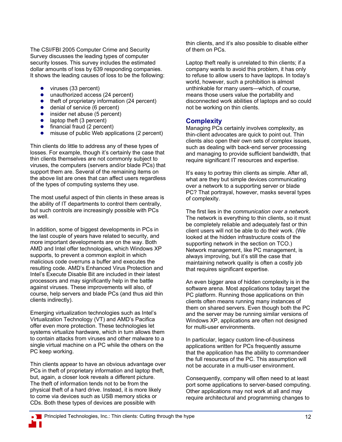The CSI/FBI 2005 Computer Crime and Security Survey discusses the leading types of computer security losses. This survey includes the estimated dollar amounts of loss by 639 responding companies. It shows the leading causes of loss to be the following:

- $\bullet$  viruses (33 percent)
- $\bullet$  unauthorized access (24 percent)
- $\bullet$  theft of proprietary information (24 percent)
- $\bullet$  denial of service (6 percent)
- $\bullet$  insider net abuse (5 percent)
- $\bullet$  laptop theft (3 percent)
- $\bullet$  financial fraud (2 percent)
- misuse of public Web applications (2 percent)

Thin clients do little to address any of these types of losses. For example, though it's certainly the case that thin clients themselves are not commonly subject to viruses, the computers (servers and/or blade PCs) that support them are. Several of the remaining items on the above list are ones that can affect users regardless of the types of computing systems they use.

The most useful aspect of thin clients in these areas is the ability of IT departments to control them centrally, but such controls are increasingly possible with PCs as well.

In addition, some of biggest developments in PCs in the last couple of years have related to security, and more important developments are on the way. Both AMD and Intel offer technologies, which Windows XP supports, to prevent a common exploit in which malicious code overruns a buffer and executes the resulting code. AMD's Enhanced Virus Protection and Intel's Execute Disable Bit are included in their latest processors and may significantly help in the battle against viruses. These improvements will also, of course, help servers and blade PCs (and thus aid thin clients indirectly).

Emerging virtualization technologies such as Intel's Virtualization Technology (VT) and AMD's Pacifica offer even more protection. These technologies let systems virtualize hardware, which in turn allows them to contain attacks from viruses and other malware to a single virtual machine on a PC while the others on the PC keep working.

Thin clients appear to have an obvious advantage over PCs in theft of proprietary information and laptop theft, but, again, a closer look reveals a different picture. The theft of information tends not to be from the physical theft of a hard drive. Instead, it is more likely to come via devices such as USB memory sticks or CDs. Both these types of devices are possible with

thin clients, and it's also possible to disable either of them on PCs.

Laptop theft really is unrelated to thin clients; if a company wants to avoid this problem, it has only to refuse to allow users to have laptops. In today's world, however, such a prohibition is almost unthinkable for many users—which, of course, means those users value the portability and disconnected work abilities of laptops and so could not be working on thin clients.

## **Complexity**

Managing PCs certainly involves complexity, as thin-client advocates are quick to point out. Thin clients also open their own sets of complex issues, such as dealing with back-end server processing and managing to provide sufficient bandwidth, that require significant IT resources and expertise.

It's easy to portray thin clients as simple. After all, what are they but simple devices communicating over a network to a supporting server or blade PC? That portrayal, however, masks several types of complexity.

The first lies in the *communication over a network.* The network is everything to thin clients, so it must be completely reliable and adequately fast or thin client users will not be able to do their work. (We looked at the hidden infrastructure costs of the supporting network in the section on TCO.) Network management, like PC management, is always improving, but it's still the case that maintaining network quality is often a costly job that requires significant expertise.

An even bigger area of hidden complexity is in the software arena. Most applications today target the PC platform. Running those applications on thin clients often means running many instances of them on shared servers. Even though both the PC and the server may be running similar versions of Windows XP, applications are often not designed for multi-user environments.

In particular, legacy custom line-of-business applications written for PCs frequently assume that the application has the ability to commandeer the full resources of the PC. This assumption will not be accurate in a multi-user environment.

Consequently, company will often need to at least port some applications to server-based computing. Other applications may not work at all and may require architectural and programming changes to

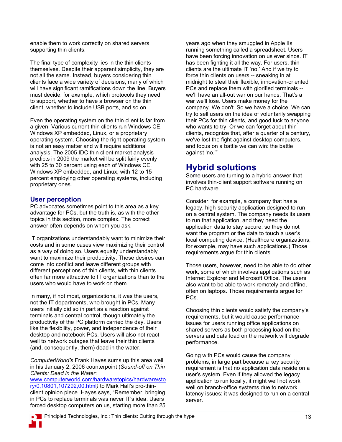enable them to work correctly on shared servers supporting thin clients.

The final type of complexity lies in the thin clients themselves. Despite their apparent simplicity, they are not all the same. Instead, buyers considering thin clients face a wide variety of decisions, many of which will have significant ramifications down the line. Buyers must decide, for example, which protocols they need to support, whether to have a browser on the thin client, whether to include USB ports, and so on.

Even the operating system on the thin client is far from a given. Various current thin clients run Windows CE, Windows XP embedded, Linux, or a proprietary operating system. Choosing the right operating system is not an easy matter and will require additional analysis. The 2005 IDC thin client market analysis predicts in 2009 the market will be split fairly evenly with 25 to 30 percent using each of Windows CE, Windows XP embedded, and Linux, with 12 to 15 percent employing other operating systems, including proprietary ones.

## **User perception**

PC advocates sometimes point to this area as a key advantage for PCs, but the truth is, as with the other topics in this section, more complex. The correct answer often depends on whom you ask.

IT organizations understandably want to minimize their costs and in some cases view maximizing their control as a way of doing so. Users equally understandably want to maximize their productivity. These desires can come into conflict and leave different groups with different perceptions of thin clients, with thin clients often far more attractive to IT organizations than to the users who would have to work on them.

In many, if not most, organizations, it was the users, not the IT departments, who brought in PCs. Many users initially did so in part as a reaction against terminals and central control, though ultimately the productivity of the PC platform carried the day. Users like the flexibility, power, and independence of their desktop and notebook PCs. Users will also not react well to network outages that leave their thin clients (and, consequently, them) dead in the water.

*ComputerWorld's* Frank Hayes sums up this area well in his January 2, 2006 counterpoint (*Sound-off on Thin Clients: Dead in the Water*:

www.computerworld.com/hardwaretopics/hardware/sto ry/0,10801,107292,00.html*)* to Mark Hall's pro-thinclient opinion piece. Hayes says, "Remember, bringing in PCs to replace terminals was never IT's idea. Users forced desktop computers on us, starting more than 25

years ago when they smuggled in Apple IIs running something called a spreadsheet. Users have been forcing innovation on us ever since. IT has been fighting it all the way. For users, thin clients are the ultimate IT 'no.' And if we try to force thin clients on users -- sneaking in at midnight to steal their flexible, innovation-oriented PCs and replace them with glorified terminals - we'll have an all-out war on our hands. That's a war we'll lose. Users make money for the company. We don't. So we have a choice. We can try to sell users on the idea of voluntarily swapping their PCs for thin clients, and good luck to anyone who wants to try. Or we can forget about thin clients, recognize that, after a quarter of a century, we've lost the fight against desktop computers, and focus on a battle we can win: the battle against 'no.'"

## **Hybrid solutions**

Some users are turning to a hybrid answer that involves thin-client support software running on PC hardware.

Consider, for example, a company that has a legacy, high-security application designed to run on a central system. The company needs its users to run that application, and they need the application data to stay secure, so they do not want the program or the data to touch a user's local computing device. (Healthcare organizations, for example, may have such applications.) Those requirements argue for thin clients.

Those users, however, need to be able to do other work, some of which involves applications such as Internet Explorer and Microsoft Office. The users also want to be able to work remotely and offline, often on laptops. Those requirements argue for PCs.

Choosing thin clients would satisfy the company's requirements, but it would cause performance issues for users running office applications on shared servers as both processing load on the servers and data load on the network will degrade performance.

Going with PCs would cause the company problems, in large part because a key security requirement is that no application data reside on a user's system. Even if they allowed the legacy application to run locally, it might well not work well on branch-office systems due to network latency issues; it was designed to run on a central server.

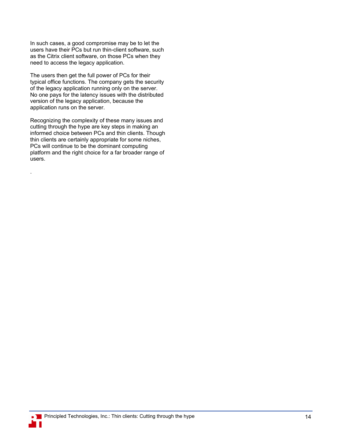In such cases, a good compromise may be to let the users have their PCs but run thin-client software, such as the Citrix client software, on those PCs when they need to access the legacy application.

The users then get the full power of PCs for their typical office functions. The company gets the security of the legacy application running only on the server. No one pays for the latency issues with the distributed version of the legacy application, because the application runs on the server.

Recognizing the complexity of these many issues and cutting through the hype are key steps in making an informed choice between PCs and thin clients. Though thin clients are certainly appropriate for some niches, PCs will continue to be the dominant computing platform and the right choice for a far broader range of users.



.